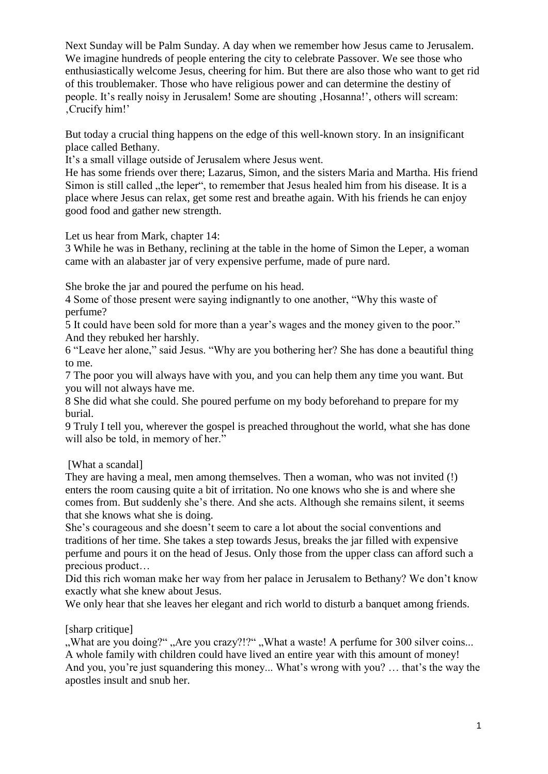Next Sunday will be Palm Sunday. A day when we remember how Jesus came to Jerusalem. We imagine hundreds of people entering the city to celebrate Passover. We see those who enthusiastically welcome Jesus, cheering for him. But there are also those who want to get rid of this troublemaker. Those who have religious power and can determine the destiny of people. It's really noisy in Jerusalem! Some are shouting .Hosanna!', others will scream: 'Crucify him!'

But today a crucial thing happens on the edge of this well-known story. In an insignificant place called Bethany.

It's a small village outside of Jerusalem where Jesus went.

He has some friends over there; Lazarus, Simon, and the sisters Maria and Martha. His friend Simon is still called "the leper", to remember that Jesus healed him from his disease. It is a place where Jesus can relax, get some rest and breathe again. With his friends he can enjoy good food and gather new strength.

Let us hear from Mark, chapter 14:

3 While he was in Bethany, reclining at the table in the home of Simon the Leper, a woman came with an alabaster jar of very expensive perfume, made of pure nard.

She broke the jar and poured the perfume on his head.

4 Some of those present were saying indignantly to one another, "Why this waste of perfume?

5 It could have been sold for more than a year's wages and the money given to the poor." And they rebuked her harshly.

6 "Leave her alone," said Jesus. "Why are you bothering her? She has done a beautiful thing to me.

7 The poor you will always have with you, and you can help them any time you want. But you will not always have me.

8 She did what she could. She poured perfume on my body beforehand to prepare for my burial.

9 Truly I tell you, wherever the gospel is preached throughout the world, what she has done will also be told, in memory of her."

[What a scandal]

They are having a meal, men among themselves. Then a woman, who was not invited (!) enters the room causing quite a bit of irritation. No one knows who she is and where she comes from. But suddenly she's there. And she acts. Although she remains silent, it seems that she knows what she is doing.

She's courageous and she doesn't seem to care a lot about the social conventions and traditions of her time. She takes a step towards Jesus, breaks the jar filled with expensive perfume and pours it on the head of Jesus. Only those from the upper class can afford such a precious product…

Did this rich woman make her way from her palace in Jerusalem to Bethany? We don't know exactly what she knew about Jesus.

We only hear that she leaves her elegant and rich world to disturb a banquet among friends.

[sharp critique]

", What are you doing?" ", Are you crazy?!?" ", What a waste! A perfume for 300 silver coins... A whole family with children could have lived an entire year with this amount of money! And you, you're just squandering this money... What's wrong with you? … that's the way the apostles insult and snub her.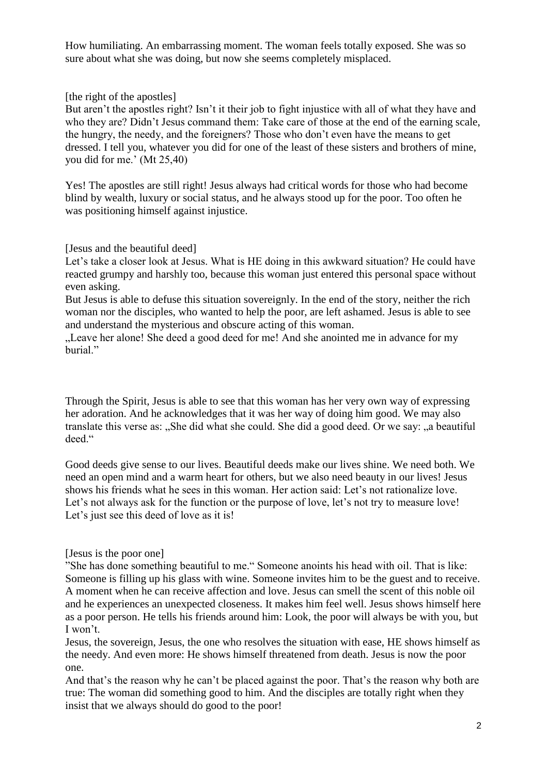How humiliating. An embarrassing moment. The woman feels totally exposed. She was so sure about what she was doing, but now she seems completely misplaced.

[the right of the apostles]

But aren't the apostles right? Isn't it their job to fight injustice with all of what they have and who they are? Didn't Jesus command them: Take care of those at the end of the earning scale, the hungry, the needy, and the foreigners? Those who don't even have the means to get dressed. I tell you, whatever you did for one of the least of these sisters and brothers of mine, you did for me.' (Mt 25,40)

Yes! The apostles are still right! Jesus always had critical words for those who had become blind by wealth, luxury or social status, and he always stood up for the poor. Too often he was positioning himself against injustice.

[Jesus and the beautiful deed]

Let's take a closer look at Jesus. What is HE doing in this awkward situation? He could have reacted grumpy and harshly too, because this woman just entered this personal space without even asking.

But Jesus is able to defuse this situation sovereignly. In the end of the story, neither the rich woman nor the disciples, who wanted to help the poor, are left ashamed. Jesus is able to see and understand the mysterious and obscure acting of this woman.

. Leave her alone! She deed a good deed for me! And she anointed me in advance for my burial."

Through the Spirit, Jesus is able to see that this woman has her very own way of expressing her adoration. And he acknowledges that it was her way of doing him good. We may also translate this verse as: "She did what she could. She did a good deed. Or we say: "a beautiful deed."

Good deeds give sense to our lives. Beautiful deeds make our lives shine. We need both. We need an open mind and a warm heart for others, but we also need beauty in our lives! Jesus shows his friends what he sees in this woman. Her action said: Let's not rationalize love. Let's not always ask for the function or the purpose of love, let's not try to measure love! Let's just see this deed of love as it is!

[Jesus is the poor one]

"She has done something beautiful to me." Someone anoints his head with oil. That is like: Someone is filling up his glass with wine. Someone invites him to be the guest and to receive. A moment when he can receive affection and love. Jesus can smell the scent of this noble oil and he experiences an unexpected closeness. It makes him feel well. Jesus shows himself here as a poor person. He tells his friends around him: Look, the poor will always be with you, but I won't.

Jesus, the sovereign, Jesus, the one who resolves the situation with ease, HE shows himself as the needy. And even more: He shows himself threatened from death. Jesus is now the poor one.

And that's the reason why he can't be placed against the poor. That's the reason why both are true: The woman did something good to him. And the disciples are totally right when they insist that we always should do good to the poor!